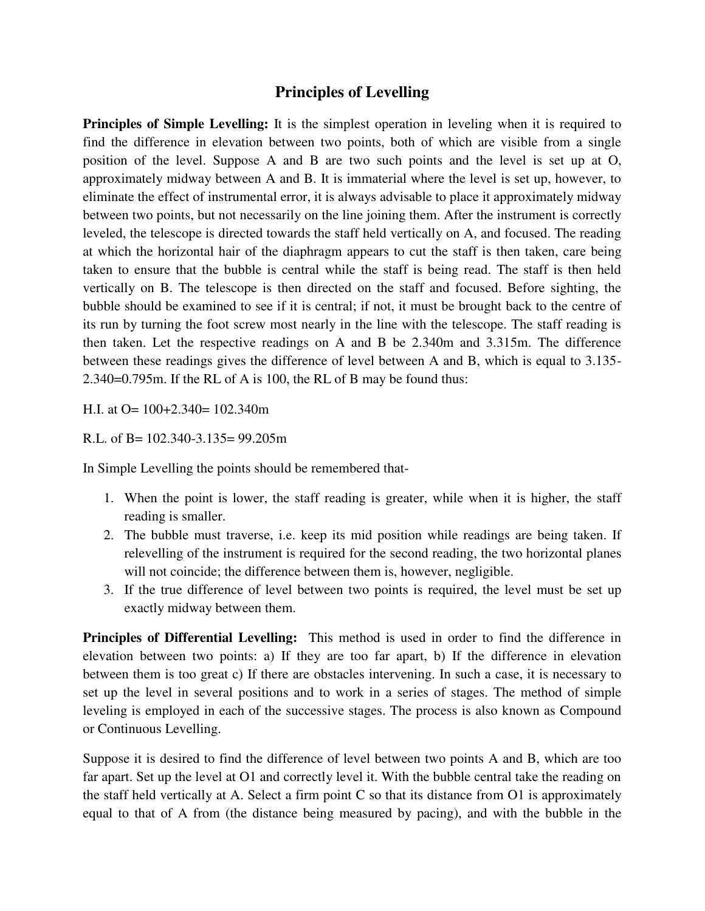## **Principles of Levelling**

**Principles of Simple Levelling:** It is the simplest operation in leveling when it is required to find the difference in elevation between two points, both of which are visible from a single position of the level. Suppose A and B are two such points and the level is set up at O, approximately midway between A and B. It is immaterial where the level is set up, however, to eliminate the effect of instrumental error, it is always advisable to place it approximately midway between two points, but not necessarily on the line joining them. After the instrument is correctly leveled, the telescope is directed towards the staff held vertically on A, and focused. The reading at which the horizontal hair of the diaphragm appears to cut the staff is then taken, care being taken to ensure that the bubble is central while the staff is being read. The staff is then held vertically on B. The telescope is then directed on the staff and focused. Before sighting, the bubble should be examined to see if it is central; if not, it must be brought back to the centre of its run by turning the foot screw most nearly in the line with the telescope. The staff reading is then taken. Let the respective readings on A and B be 2.340m and 3.315m. The difference between these readings gives the difference of level between A and B, which is equal to 3.135- 2.340=0.795m. If the RL of A is 100, the RL of B may be found thus:

H.I. at O= 100+2.340= 102.340m

R.L. of B= 102.340-3.135= 99.205m

In Simple Levelling the points should be remembered that-

- 1. When the point is lower, the staff reading is greater, while when it is higher, the staff reading is smaller.
- 2. The bubble must traverse, i.e. keep its mid position while readings are being taken. If relevelling of the instrument is required for the second reading, the two horizontal planes will not coincide; the difference between them is, however, negligible.
- 3. If the true difference of level between two points is required, the level must be set up exactly midway between them.

**Principles of Differential Levelling:** This method is used in order to find the difference in elevation between two points: a) If they are too far apart, b) If the difference in elevation between them is too great c) If there are obstacles intervening. In such a case, it is necessary to set up the level in several positions and to work in a series of stages. The method of simple leveling is employed in each of the successive stages. The process is also known as Compound or Continuous Levelling.

Suppose it is desired to find the difference of level between two points A and B, which are too far apart. Set up the level at O1 and correctly level it. With the bubble central take the reading on the staff held vertically at A. Select a firm point  $C$  so that its distance from  $O1$  is approximately equal to that of A from (the distance being measured by pacing), and with the bubble in the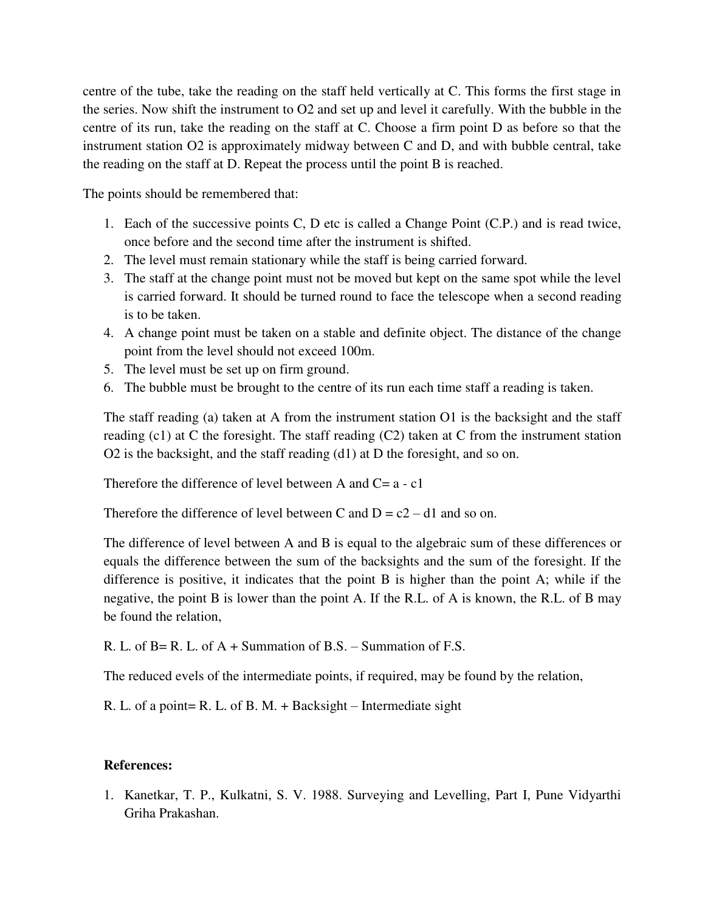centre of the tube, take the reading on the staff held vertically at C. This forms the first stage in the series. Now shift the instrument to O2 and set up and level it carefully. With the bubble in the centre of its run, take the reading on the staff at C. Choose a firm point D as before so that the instrument station O2 is approximately midway between C and D, and with bubble central, take the reading on the staff at D. Repeat the process until the point B is reached.

The points should be remembered that:

- 1. Each of the successive points C, D etc is called a Change Point (C.P.) and is read twice, once before and the second time after the instrument is shifted.
- 2. The level must remain stationary while the staff is being carried forward.
- 3. The staff at the change point must not be moved but kept on the same spot while the level is carried forward. It should be turned round to face the telescope when a second reading is to be taken.
- 4. A change point must be taken on a stable and definite object. The distance of the change point from the level should not exceed 100m.
- 5. The level must be set up on firm ground.
- 6. The bubble must be brought to the centre of its run each time staff a reading is taken.

The staff reading (a) taken at A from the instrument station O1 is the backsight and the staff reading (c1) at C the foresight. The staff reading (C2) taken at C from the instrument station O2 is the backsight, and the staff reading (d1) at D the foresight, and so on.

Therefore the difference of level between A and  $C = a - c1$ 

Therefore the difference of level between C and  $D = c2 - d1$  and so on.

The difference of level between A and B is equal to the algebraic sum of these differences or equals the difference between the sum of the backsights and the sum of the foresight. If the difference is positive, it indicates that the point B is higher than the point A; while if the negative, the point B is lower than the point A. If the R.L. of A is known, the R.L. of B may be found the relation,

R. L. of B= R. L. of A + Summation of B.S. – Summation of F.S.

The reduced evels of the intermediate points, if required, may be found by the relation,

R. L. of a point= R. L. of B. M. + Backsight – Intermediate sight

## **References:**

1. Kanetkar, T. P., Kulkatni, S. V. 1988. Surveying and Levelling, Part I, Pune Vidyarthi Griha Prakashan.